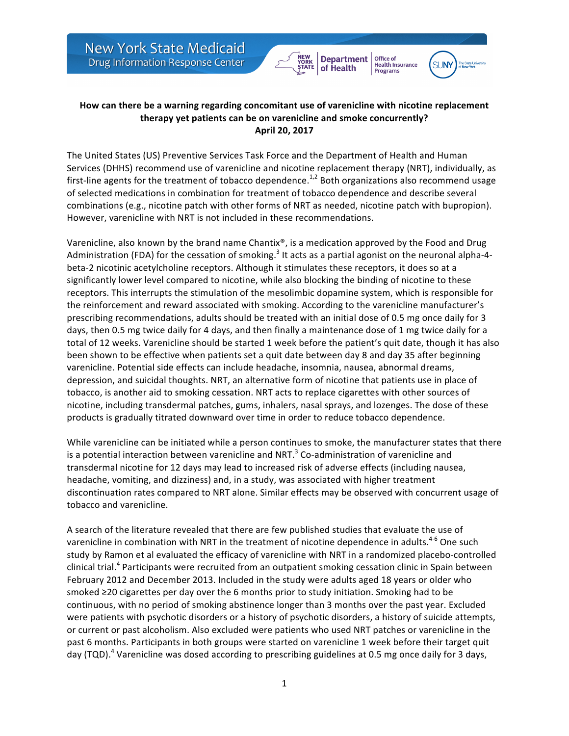



Office of<br>Health Insurance

**Programs** 

## How can there be a warning regarding concomitant use of varenicline with nicotine replacement therapy yet patients can be on varenicline and smoke concurrently? **April 20, 2017**

The United States (US) Preventive Services Task Force and the Department of Health and Human Services (DHHS) recommend use of varenicline and nicotine replacement therapy (NRT), individually, as first-line agents for the treatment of tobacco dependence.<sup>1,2</sup> Both organizations also recommend usage of selected medications in combination for treatment of tobacco dependence and describe several combinations (e.g., nicotine patch with other forms of NRT as needed, nicotine patch with bupropion). However, varenicline with NRT is not included in these recommendations.

Varenicline, also known by the brand name Chantix®, is a medication approved by the Food and Drug Administration (FDA) for the cessation of smoking.<sup>3</sup> It acts as a partial agonist on the neuronal alpha-4beta-2 nicotinic acetylcholine receptors. Although it stimulates these receptors, it does so at a significantly lower level compared to nicotine, while also blocking the binding of nicotine to these receptors. This interrupts the stimulation of the mesolimbic dopamine system, which is responsible for the reinforcement and reward associated with smoking. According to the varenicline manufacturer's prescribing recommendations, adults should be treated with an initial dose of 0.5 mg once daily for 3 days, then 0.5 mg twice daily for 4 days, and then finally a maintenance dose of 1 mg twice daily for a total of 12 weeks. Varenicline should be started 1 week before the patient's quit date, though it has also been shown to be effective when patients set a quit date between day 8 and day 35 after beginning varenicline. Potential side effects can include headache, insomnia, nausea, abnormal dreams, depression, and suicidal thoughts. NRT, an alternative form of nicotine that patients use in place of tobacco, is another aid to smoking cessation. NRT acts to replace cigarettes with other sources of nicotine, including transdermal patches, gums, inhalers, nasal sprays, and lozenges. The dose of these products is gradually titrated downward over time in order to reduce tobacco dependence.

While varenicline can be initiated while a person continues to smoke, the manufacturer states that there is a potential interaction between varenicline and NRT. $3$  Co-administration of varenicline and transdermal nicotine for 12 days may lead to increased risk of adverse effects (including nausea, headache, vomiting, and dizziness) and, in a study, was associated with higher treatment discontinuation rates compared to NRT alone. Similar effects may be observed with concurrent usage of tobacco and varenicline.

A search of the literature revealed that there are few published studies that evaluate the use of varenicline in combination with NRT in the treatment of nicotine dependence in adults.<sup>4-6</sup> One such study by Ramon et al evaluated the efficacy of varenicline with NRT in a randomized placebo-controlled clinical trial.<sup>4</sup> Participants were recruited from an outpatient smoking cessation clinic in Spain between February 2012 and December 2013. Included in the study were adults aged 18 years or older who smoked ≥20 cigarettes per day over the 6 months prior to study initiation. Smoking had to be continuous, with no period of smoking abstinence longer than 3 months over the past year. Excluded were patients with psychotic disorders or a history of psychotic disorders, a history of suicide attempts, or current or past alcoholism. Also excluded were patients who used NRT patches or varenicline in the past 6 months. Participants in both groups were started on varenicline 1 week before their target quit day (TQD).<sup>4</sup> Varenicline was dosed according to prescribing guidelines at 0.5 mg once daily for 3 days,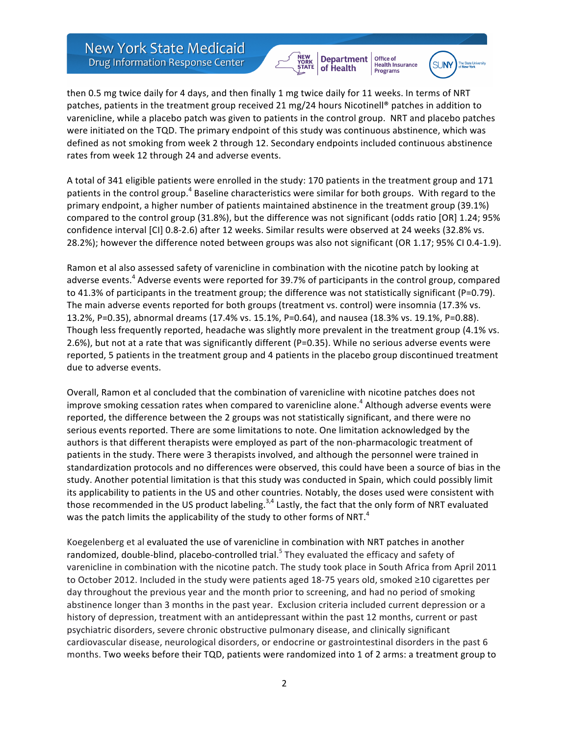

Office of

**Health Insurance** 



then 0.5 mg twice daily for 4 days, and then finally 1 mg twice daily for 11 weeks. In terms of NRT patches, patients in the treatment group received 21 mg/24 hours Nicotinell® patches in addition to varenicline, while a placebo patch was given to patients in the control group. NRT and placebo patches were initiated on the TQD. The primary endpoint of this study was continuous abstinence, which was defined as not smoking from week 2 through 12. Secondary endpoints included continuous abstinence rates from week 12 through 24 and adverse events.

A total of 341 eligible patients were enrolled in the study: 170 patients in the treatment group and 171 patients in the control group.<sup>4</sup> Baseline characteristics were similar for both groups. With regard to the primary endpoint, a higher number of patients maintained abstinence in the treatment group (39.1%) compared to the control group (31.8%), but the difference was not significant (odds ratio [OR] 1.24; 95% confidence interval [CI] 0.8-2.6) after 12 weeks. Similar results were observed at 24 weeks (32.8% vs. 28.2%); however the difference noted between groups was also not significant (OR 1.17; 95% CI 0.4-1.9).

Ramon et al also assessed safety of varenicline in combination with the nicotine patch by looking at adverse events.<sup>4</sup> Adverse events were reported for 39.7% of participants in the control group, compared to 41.3% of participants in the treatment group; the difference was not statistically significant (P=0.79). The main adverse events reported for both groups (treatment vs. control) were insomnia (17.3% vs. 13.2%, P=0.35), abnormal dreams (17.4% vs. 15.1%, P=0.64), and nausea (18.3% vs. 19.1%, P=0.88). Though less frequently reported, headache was slightly more prevalent in the treatment group (4.1% vs. 2.6%), but not at a rate that was significantly different (P=0.35). While no serious adverse events were reported, 5 patients in the treatment group and 4 patients in the placebo group discontinued treatment due to adverse events.

Overall, Ramon et al concluded that the combination of varenicline with nicotine patches does not improve smoking cessation rates when compared to varenicline alone.<sup>4</sup> Although adverse events were reported, the difference between the 2 groups was not statistically significant, and there were no serious events reported. There are some limitations to note. One limitation acknowledged by the authors is that different therapists were employed as part of the non-pharmacologic treatment of patients in the study. There were 3 therapists involved, and although the personnel were trained in standardization protocols and no differences were observed, this could have been a source of bias in the study. Another potential limitation is that this study was conducted in Spain, which could possibly limit its applicability to patients in the US and other countries. Notably, the doses used were consistent with those recommended in the US product labeling.<sup>3,4</sup> Lastly, the fact that the only form of NRT evaluated was the patch limits the applicability of the study to other forms of NRT.<sup>4</sup>

Koegelenberg et al evaluated the use of varenicline in combination with NRT patches in another randomized, double-blind, placebo-controlled trial.<sup>5</sup> They evaluated the efficacy and safety of varenicline in combination with the nicotine patch. The study took place in South Africa from April 2011 to October 2012. Included in the study were patients aged 18-75 years old, smoked ≥10 cigarettes per day throughout the previous year and the month prior to screening, and had no period of smoking abstinence longer than 3 months in the past year. Exclusion criteria included current depression or a history of depression, treatment with an antidepressant within the past 12 months, current or past psychiatric disorders, severe chronic obstructive pulmonary disease, and clinically significant cardiovascular disease, neurological disorders, or endocrine or gastrointestinal disorders in the past 6 months. Two weeks before their TQD, patients were randomized into 1 of 2 arms: a treatment group to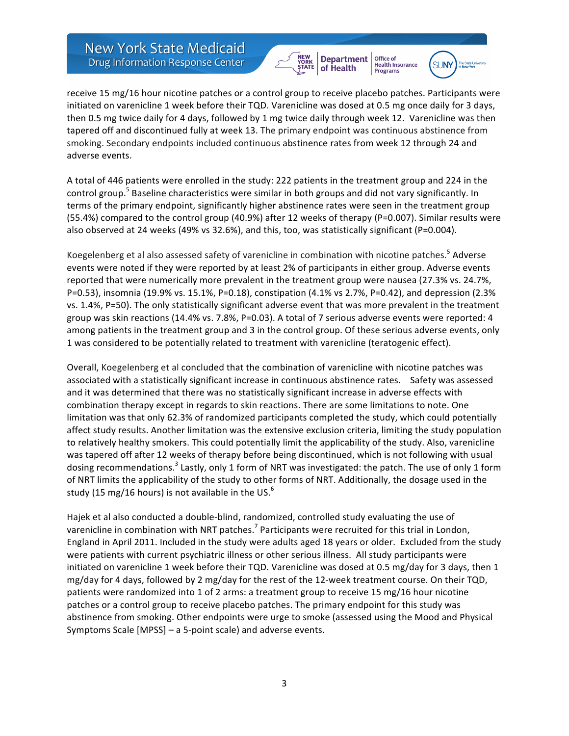



Office of<br>Health Insurance

receive 15 mg/16 hour nicotine patches or a control group to receive placebo patches. Participants were initiated on varenicline 1 week before their TQD. Varenicline was dosed at 0.5 mg once daily for 3 days, then 0.5 mg twice daily for 4 days, followed by 1 mg twice daily through week 12. Varenicline was then tapered off and discontinued fully at week 13. The primary endpoint was continuous abstinence from smoking. Secondary endpoints included continuous abstinence rates from week 12 through 24 and adverse events.

A total of 446 patients were enrolled in the study: 222 patients in the treatment group and 224 in the control group.<sup>5</sup> Baseline characteristics were similar in both groups and did not vary significantly. In terms of the primary endpoint, significantly higher abstinence rates were seen in the treatment group (55.4%) compared to the control group (40.9%) after 12 weeks of therapy (P=0.007). Similar results were also observed at 24 weeks (49% vs 32.6%), and this, too, was statistically significant (P=0.004).

Koegelenberg et al also assessed safety of varenicline in combination with nicotine patches.<sup>5</sup> Adverse events were noted if they were reported by at least 2% of participants in either group. Adverse events reported that were numerically more prevalent in the treatment group were nausea (27.3% vs. 24.7%, P=0.53), insomnia (19.9% vs. 15.1%, P=0.18), constipation (4.1% vs 2.7%, P=0.42), and depression (2.3% vs. 1.4%, P=50). The only statistically significant adverse event that was more prevalent in the treatment group was skin reactions (14.4% vs. 7.8%, P=0.03). A total of 7 serious adverse events were reported: 4 among patients in the treatment group and 3 in the control group. Of these serious adverse events, only 1 was considered to be potentially related to treatment with varenicline (teratogenic effect).

Overall, Koegelenberg et al concluded that the combination of varenicline with nicotine patches was associated with a statistically significant increase in continuous abstinence rates. Safety was assessed and it was determined that there was no statistically significant increase in adverse effects with combination therapy except in regards to skin reactions. There are some limitations to note. One limitation was that only 62.3% of randomized participants completed the study, which could potentially affect study results. Another limitation was the extensive exclusion criteria, limiting the study population to relatively healthy smokers. This could potentially limit the applicability of the study. Also, varenicline was tapered off after 12 weeks of therapy before being discontinued, which is not following with usual dosing recommendations.<sup>3</sup> Lastly, only 1 form of NRT was investigated: the patch. The use of only 1 form of NRT limits the applicability of the study to other forms of NRT. Additionally, the dosage used in the study (15 mg/16 hours) is not available in the US. $^{6}$ 

Hajek et al also conducted a double-blind, randomized, controlled study evaluating the use of varenicline in combination with NRT patches.<sup>7</sup> Participants were recruited for this trial in London, England in April 2011. Included in the study were adults aged 18 years or older. Excluded from the study were patients with current psychiatric illness or other serious illness. All study participants were initiated on varenicline 1 week before their TQD. Varenicline was dosed at 0.5 mg/day for 3 days, then 1 mg/day for 4 days, followed by 2 mg/day for the rest of the 12-week treatment course. On their TQD, patients were randomized into 1 of 2 arms: a treatment group to receive 15 mg/16 hour nicotine patches or a control group to receive placebo patches. The primary endpoint for this study was abstinence from smoking. Other endpoints were urge to smoke (assessed using the Mood and Physical Symptoms Scale  $[MPSS]$  – a 5-point scale) and adverse events.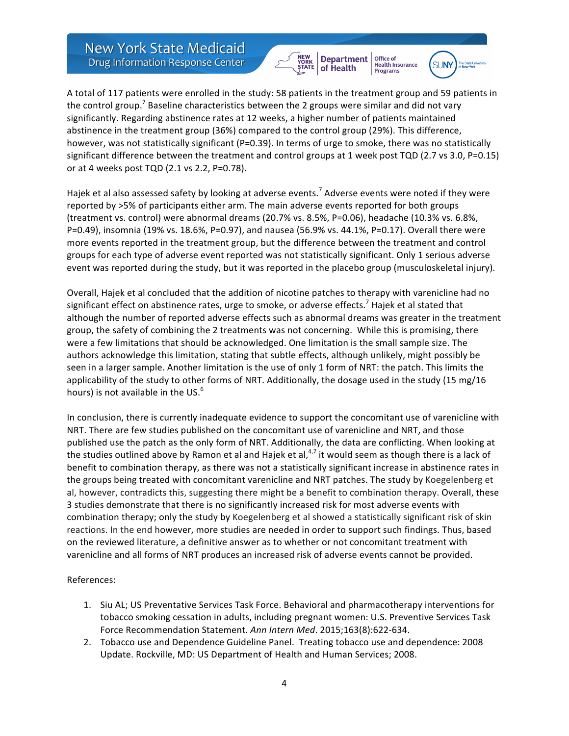



Office of<br>Health Insurance

A total of 117 patients were enrolled in the study: 58 patients in the treatment group and 59 patients in the control group.<sup>7</sup> Baseline characteristics between the 2 groups were similar and did not vary significantly. Regarding abstinence rates at 12 weeks, a higher number of patients maintained abstinence in the treatment group (36%) compared to the control group (29%). This difference, however, was not statistically significant (P=0.39). In terms of urge to smoke, there was no statistically significant difference between the treatment and control groups at 1 week post TQD (2.7 vs 3.0, P=0.15) or at 4 weeks post TQD (2.1 vs 2.2, P=0.78).

Hajek et al also assessed safety by looking at adverse events.<sup>7</sup> Adverse events were noted if they were reported by >5% of participants either arm. The main adverse events reported for both groups (treatment vs. control) were abnormal dreams (20.7% vs. 8.5%, P=0.06), headache (10.3% vs. 6.8%, P=0.49), insomnia (19% vs. 18.6%, P=0.97), and nausea (56.9% vs. 44.1%, P=0.17). Overall there were more events reported in the treatment group, but the difference between the treatment and control groups for each type of adverse event reported was not statistically significant. Only 1 serious adverse event was reported during the study, but it was reported in the placebo group (musculoskeletal injury).

Overall, Hajek et al concluded that the addition of nicotine patches to therapy with varenicline had no significant effect on abstinence rates, urge to smoke, or adverse effects.<sup>7</sup> Hajek et al stated that although the number of reported adverse effects such as abnormal dreams was greater in the treatment group, the safety of combining the 2 treatments was not concerning. While this is promising, there were a few limitations that should be acknowledged. One limitation is the small sample size. The authors acknowledge this limitation, stating that subtle effects, although unlikely, might possibly be seen in a larger sample. Another limitation is the use of only 1 form of NRT: the patch. This limits the applicability of the study to other forms of NRT. Additionally, the dosage used in the study (15 mg/16 hours) is not available in the US. $<sup>6</sup>$ </sup>

In conclusion, there is currently inadequate evidence to support the concomitant use of varenicline with NRT. There are few studies published on the concomitant use of varenicline and NRT, and those published use the patch as the only form of NRT. Additionally, the data are conflicting. When looking at the studies outlined above by Ramon et al and Hajek et al,  $4.7$  it would seem as though there is a lack of benefit to combination therapy, as there was not a statistically significant increase in abstinence rates in the groups being treated with concomitant varenicline and NRT patches. The study by Koegelenberg et al, however, contradicts this, suggesting there might be a benefit to combination therapy. Overall, these 3 studies demonstrate that there is no significantly increased risk for most adverse events with combination therapy; only the study by Koegelenberg et al showed a statistically significant risk of skin reactions. In the end however, more studies are needed in order to support such findings. Thus, based on the reviewed literature, a definitive answer as to whether or not concomitant treatment with varenicline and all forms of NRT produces an increased risk of adverse events cannot be provided.

## References:

- 1. Siu AL; US Preventative Services Task Force. Behavioral and pharmacotherapy interventions for tobacco smoking cessation in adults, including pregnant women: U.S. Preventive Services Task Force Recommendation Statement. Ann Intern Med. 2015;163(8):622-634.
- 2. Tobacco use and Dependence Guideline Panel. Treating tobacco use and dependence: 2008 Update. Rockville, MD: US Department of Health and Human Services; 2008.